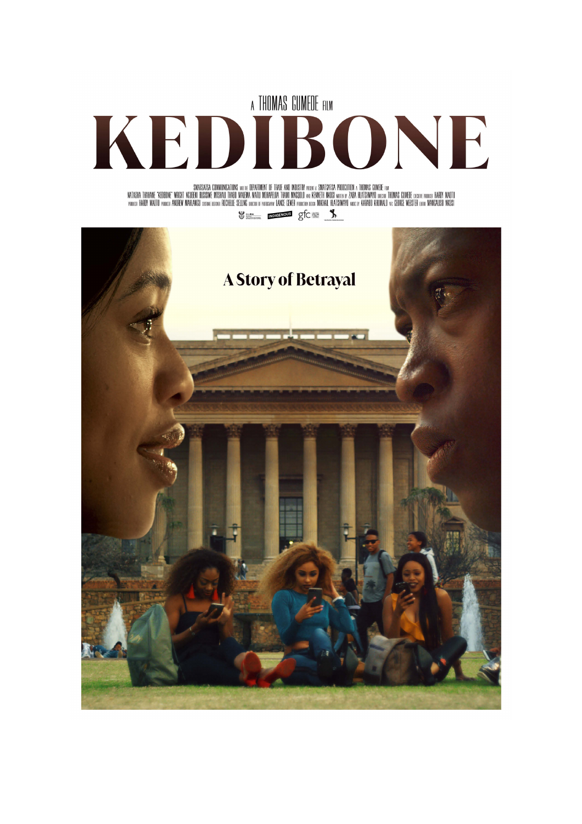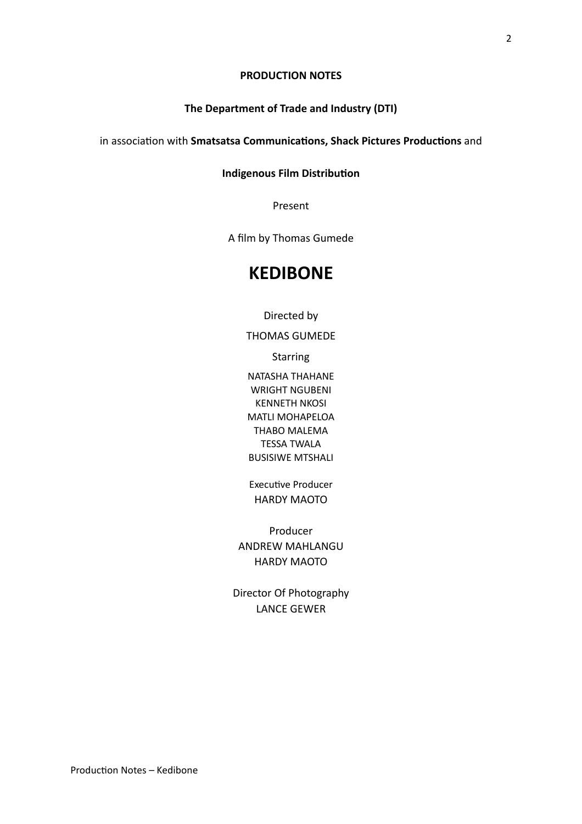## **PRODUCTION NOTES**

## The Department of Trade and Industry (DTI)

## in association with Smatsatsa Communications, Shack Pictures Productions and

#### **Indigenous Film Distribution**

Present

A film by Thomas Gumede

# **KEDIBONE**

Directed by

**THOMAS GUMEDE** 

**Starring** 

NATASHA THAHANE **WRIGHT NGUBENI KENNETH NKOSI MATLI MOHAPELOA** THABO MALEMA **TESSA TWALA BUSISIWE MTSHALI** 

**Executive Producer HARDY MAOTO** 

Producer **ANDREW MAHLANGU HARDY MAOTO** 

Director Of Photography **LANCE GEWER**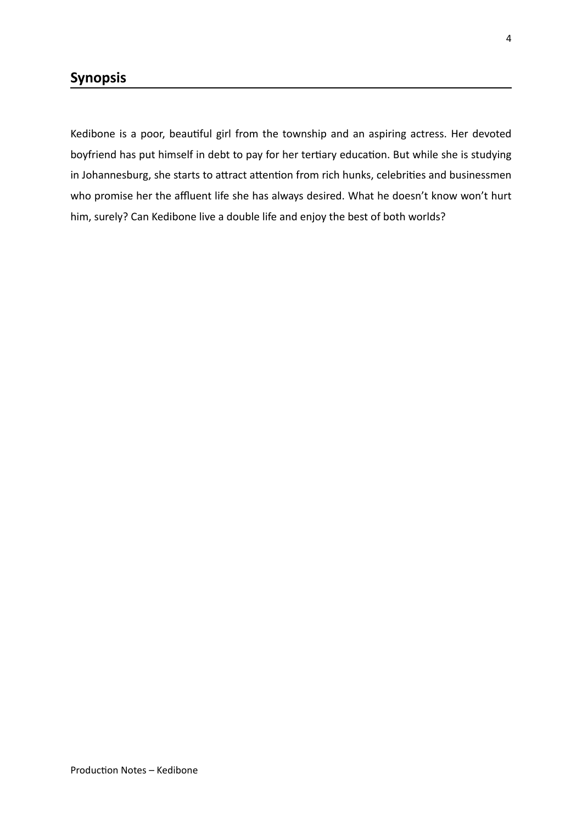## **Synopsis**

Kedibone is a poor, beautiful girl from the township and an aspiring actress. Her devoted boyfriend has put himself in debt to pay for her tertiary education. But while she is studying in Johannesburg, she starts to attract attention from rich hunks, celebrities and businessmen who promise her the affluent life she has always desired. What he doesn't know won't hurt him, surely? Can Kedibone live a double life and enjoy the best of both worlds?

4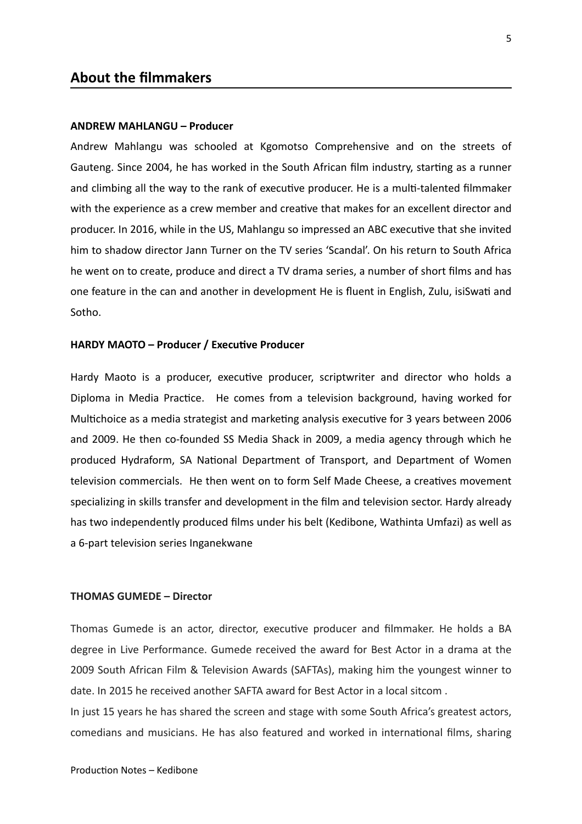## **About the filmmakers**

#### **ANDREW MAHLANGU – Producer**

Andrew Mahlangu was schooled at Kgomotso Comprehensive and on the streets of Gauteng. Since 2004, he has worked in the South African film industry, starting as a runner and climbing all the way to the rank of executive producer. He is a multi-talented filmmaker with the experience as a crew member and creative that makes for an excellent director and producer. In 2016, while in the US, Mahlangu so impressed an ABC executive that she invited him to shadow director Jann Turner on the TV series 'Scandal'. On his return to South Africa he went on to create, produce and direct a TV drama series, a number of short films and has one feature in the can and another in development He is fluent in English, Zulu, isiSwati and Sotho.

#### **HARDY MAOTO – Producer / Executive Producer**

Hardy Maoto is a producer, executive producer, scriptwriter and director who holds a Diploma in Media Practice. He comes from a television background, having worked for Multichoice as a media strategist and marketing analysis executive for 3 years between 2006 and 2009. He then co-founded SS Media Shack in 2009, a media agency through which he produced Hydraform, SA National Department of Transport, and Department of Women television commercials. He then went on to form Self Made Cheese, a creatives movement specializing in skills transfer and development in the film and television sector. Hardy already has two independently produced films under his belt (Kedibone, Wathinta Umfazi) as well as a 6-part television series Inganekwane

#### **THOMAS GUMEDE – Director**

Thomas Gumede is an actor, director, executive producer and filmmaker. He holds a BA degree in Live Performance. Gumede received the award for Best Actor in a drama at the 2009 South African Film & Television Awards (SAFTAs), making him the youngest winner to date. In 2015 he received another SAFTA award for Best Actor in a local sitcom .

In just 15 years he has shared the screen and stage with some South Africa's greatest actors, comedians and musicians. He has also featured and worked in international films, sharing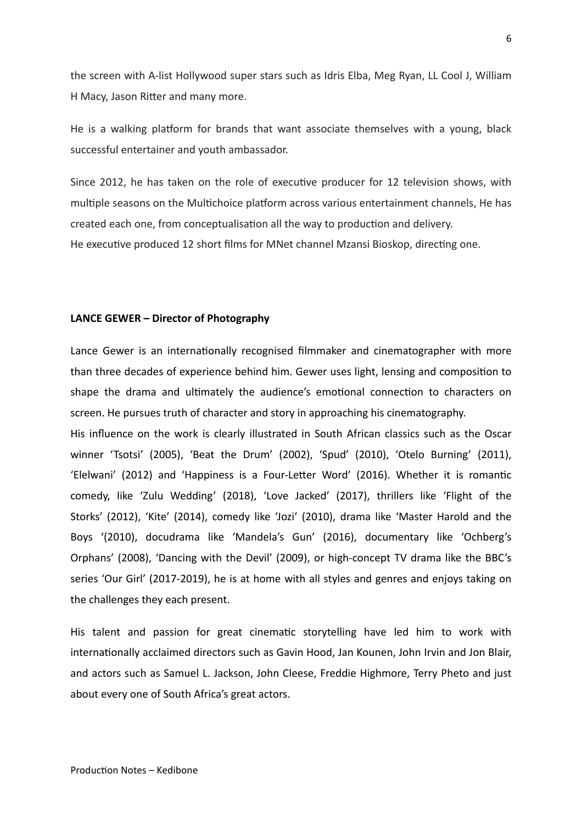the screen with A-list Hollywood super stars such as Idris Elba, Meg Ryan, LL Cool J, William H Macy, Jason Ritter and many more.

He is a walking platform for brands that want associate themselves with a young, black successful entertainer and youth ambassador.

Since 2012, he has taken on the role of executive producer for 12 television shows, with multiple seasons on the Multichoice platform across various entertainment channels, He has created each one, from conceptualisation all the way to production and delivery. He executive produced 12 short films for MNet channel Mzansi Bioskop, directing one.

#### **LANCE GEWER – Director of Photography**

Lance Gewer is an internationally recognised filmmaker and cinematographer with more than three decades of experience behind him. Gewer uses light, lensing and composition to shape the drama and ultimately the audience's emotional connection to characters on screen. He pursues truth of character and story in approaching his cinematography.

His influence on the work is clearly illustrated in South African classics such as the Oscar winner 'Tsotsi' (2005), 'Beat the Drum' (2002), 'Spud' (2010), 'Otelo Burning' (2011), 'Elelwani' (2012) and 'Happiness is a Four-Letter Word' (2016). Whether it is romantic comedy, like 'Zulu Wedding' (2018), 'Love Jacked' (2017), thrillers like 'Flight of the Storks' (2012), 'Kite' (2014), comedy like 'Jozi' (2010), drama like 'Master Harold and the Boys '(2010), docudrama like 'Mandela's Gun' (2016), documentary like 'Ochberg's Orphans' (2008), 'Dancing with the Devil' (2009), or high-concept TV drama like the BBC's series 'Our Girl' (2017-2019), he is at home with all styles and genres and enjoys taking on the challenges they each present.

His talent and passion for great cinematic storytelling have led him to work with internationally acclaimed directors such as Gavin Hood, Jan Kounen, John Irvin and Jon Blair, and actors such as Samuel L. Jackson, John Cleese, Freddie Highmore, Terry Pheto and just about every one of South Africa's great actors.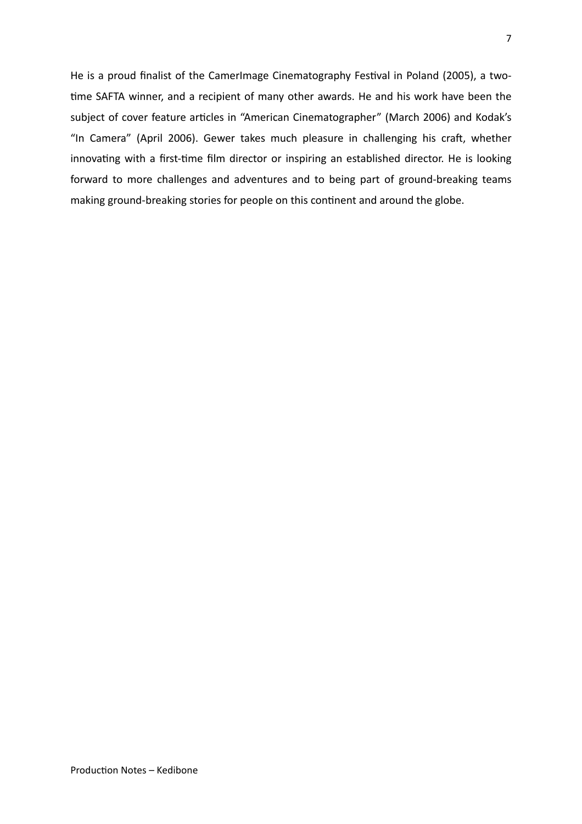He is a proud finalist of the CamerImage Cinematography Festival in Poland (2005), a twotime SAFTA winner, and a recipient of many other awards. He and his work have been the subject of cover feature articles in "American Cinematographer" (March 2006) and Kodak's "In Camera" (April 2006). Gewer takes much pleasure in challenging his craft, whether innovating with a first-time film director or inspiring an established director. He is looking forward to more challenges and adventures and to being part of ground-breaking teams making ground-breaking stories for people on this continent and around the globe.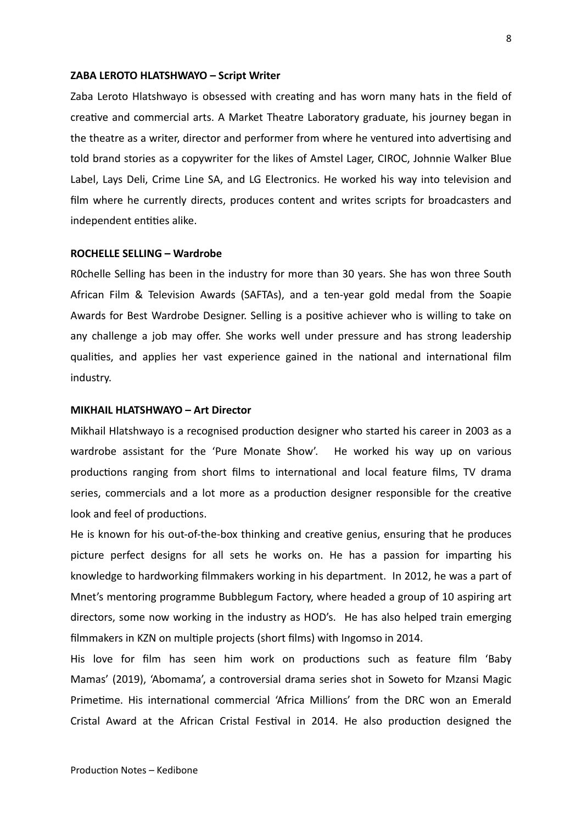#### **ZABA LEROTO HLATSHWAYO – Script Writer**

Zaba Leroto Hlatshwayo is obsessed with creating and has worn many hats in the field of creative and commercial arts. A Market Theatre Laboratory graduate, his journey began in the theatre as a writer, director and performer from where he ventured into advertising and told brand stories as a copywriter for the likes of Amstel Lager, CIROC, Johnnie Walker Blue Label, Lays Deli, Crime Line SA, and LG Electronics. He worked his way into television and film where he currently directs, produces content and writes scripts for broadcasters and independent entities alike.

#### **ROCHELLE SELLING – Wardrobe**

R0chelle Selling has been in the industry for more than 30 years. She has won three South African Film & Television Awards (SAFTAs), and a ten-year gold medal from the Soapie Awards for Best Wardrobe Designer. Selling is a positive achiever who is willing to take on any challenge a job may offer. She works well under pressure and has strong leadership qualities, and applies her vast experience gained in the national and international film industry.

#### **MIKHAIL HLATSHWAYO – Art Director**

Mikhail Hlatshwayo is a recognised production designer who started his career in 2003 as a wardrobe assistant for the 'Pure Monate Show'. He worked his way up on various productions ranging from short films to international and local feature films, TV drama series, commercials and a lot more as a production designer responsible for the creative look and feel of productions.

He is known for his out-of-the-box thinking and creative genius, ensuring that he produces picture perfect designs for all sets he works on. He has a passion for imparting his knowledge to hardworking filmmakers working in his department. In 2012, he was a part of Mnet's mentoring programme Bubblegum Factory, where headed a group of 10 aspiring art directors, some now working in the industry as HOD's. He has also helped train emerging filmmakers in KZN on multiple projects (short films) with Ingomso in 2014.

His love for film has seen him work on productions such as feature film 'Baby Mamas' (2019), 'Abomama', a controversial drama series shot in Soweto for Mzansi Magic Primetime. His international commercial 'Africa Millions' from the DRC won an Emerald Cristal Award at the African Cristal Festival in 2014. He also production designed the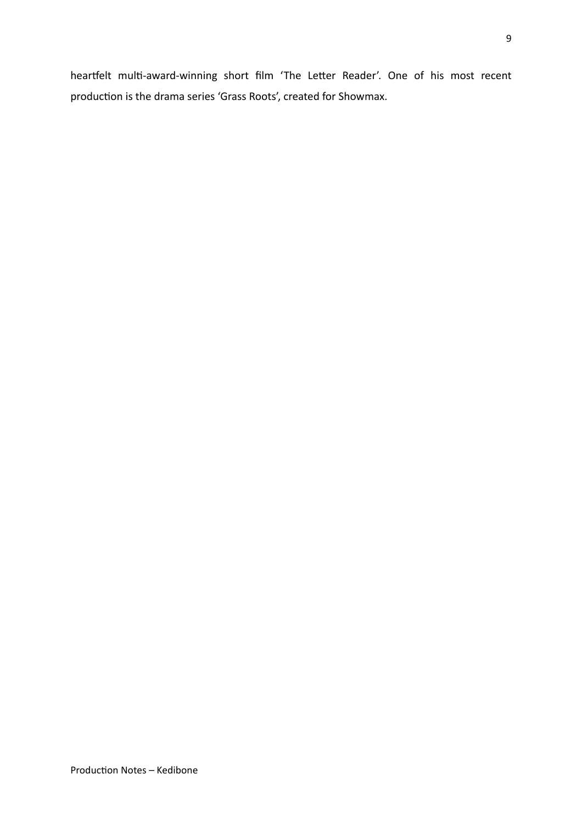heartfelt multi-award-winning short film 'The Letter Reader'. One of his most recent production is the drama series 'Grass Roots', created for Showmax.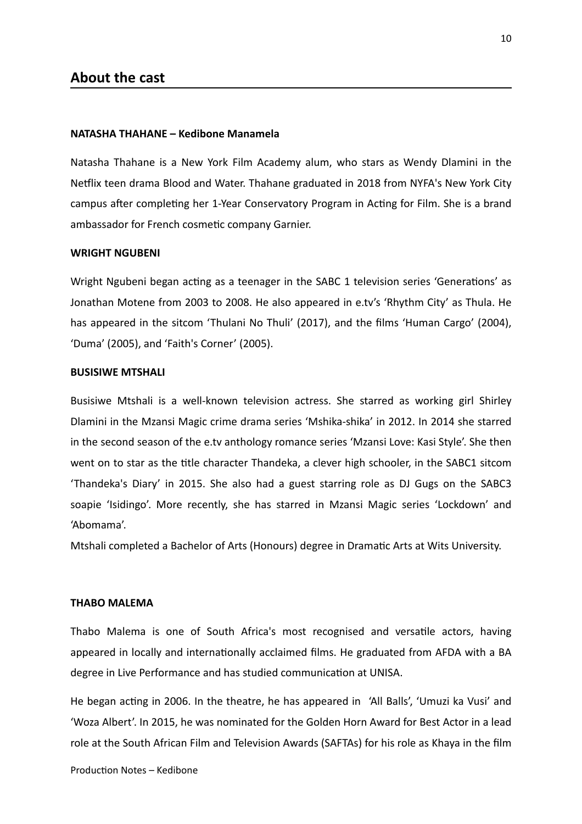## **About the cast**

#### **NATASHA THAHANE – Kedibone Manamela**

Natasha Thahane is a New York Film Academy alum, who stars as Wendy Dlamini in the Netflix teen drama Blood and Water. Thahane graduated in 2018 from NYFA's New York City campus after completing her 1-Year Conservatory Program in Acting for Film. She is a brand ambassador for French cosmetic company Garnier.

#### **WRIGHT NGUBENI**

Wright Ngubeni began acting as a teenager in the SABC 1 television series 'Generations' as Jonathan Motene from 2003 to 2008. He also appeared in e.tv's 'Rhythm City' as Thula. He has appeared in the sitcom 'Thulani No Thuli' (2017), and the films 'Human Cargo' (2004), 'Duma' (2005), and 'Faith's Corner' (2005).

#### **BUSISIWE MTSHALI**

Busisiwe Mtshali is a well-known television actress. She starred as working girl Shirley Dlamini in the Mzansi Magic crime drama series 'Mshika-shika' in 2012. In 2014 she starred in the second season of the e.tv anthology romance series 'Mzansi Love: Kasi Style'. She then went on to star as the title character Thandeka, a clever high schooler, in the SABC1 sitcom 'Thandeka's Diary' in 2015. She also had a guest starring role as DJ Gugs on the SABC3 soapie 'Isidingo'. More recently, she has starred in Mzansi Magic series 'Lockdown' and 'Abomama'.

Mtshali completed a Bachelor of Arts (Honours) degree in Dramatic Arts at Wits University.

#### **THABO MALEMA**

Thabo Malema is one of South Africa's most recognised and versatile actors, having appeared in locally and internationally acclaimed films. He graduated from AFDA with a BA degree in Live Performance and has studied communication at UNISA.

He began acting in 2006. In the theatre, he has appeared in 'All Balls', 'Umuzi ka Vusi' and 'Woza Albert'. In 2015, he was nominated for the Golden Horn Award for Best Actor in a lead role at the South African Film and Television Awards (SAFTAs) for his role as Khaya in the film

10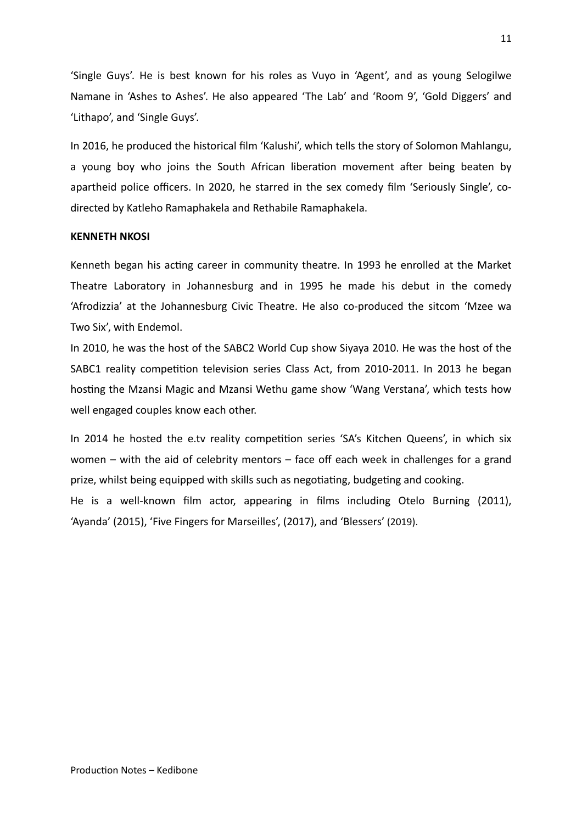'Single Guys'. He is best known for his roles as Vuyo in 'Agent', and as young Selogilwe Namane in 'Ashes to Ashes'. He also appeared 'The Lab' and 'Room 9', 'Gold Diggers' and 'Lithapo', and 'Single Guys'.

In 2016, he produced the historical film 'Kalushi', which tells the story of Solomon Mahlangu, a young boy who joins the South African liberation movement after being beaten by apartheid police officers. In 2020, he starred in the sex comedy film 'Seriously Single', codirected by Katleho Ramaphakela and Rethabile Ramaphakela.

### **KENNETH NKOSI**

Kenneth began his acting career in community theatre. In 1993 he enrolled at the Market Theatre Laboratory in Johannesburg and in 1995 he made his debut in the comedy 'Afrodizzia' at the Johannesburg Civic Theatre. He also co-produced the sitcom 'Mzee wa Two Six', with Endemol.

In 2010, he was the host of the SABC2 World Cup show Siyaya 2010. He was the host of the SABC1 reality competition television series Class Act, from 2010-2011. In 2013 he began hosting the Mzansi Magic and Mzansi Wethu game show 'Wang Verstana', which tests how well engaged couples know each other.

In 2014 he hosted the e.tv reality competition series 'SA's Kitchen Queens', in which six women – with the aid of celebrity mentors – face off each week in challenges for a grand prize, whilst being equipped with skills such as negotiating, budgeting and cooking.

He is a well-known film actor, appearing in films including Otelo Burning (2011), 'Ayanda' (2015), 'Five Fingers for Marseilles', (2017), and 'Blessers' (2019).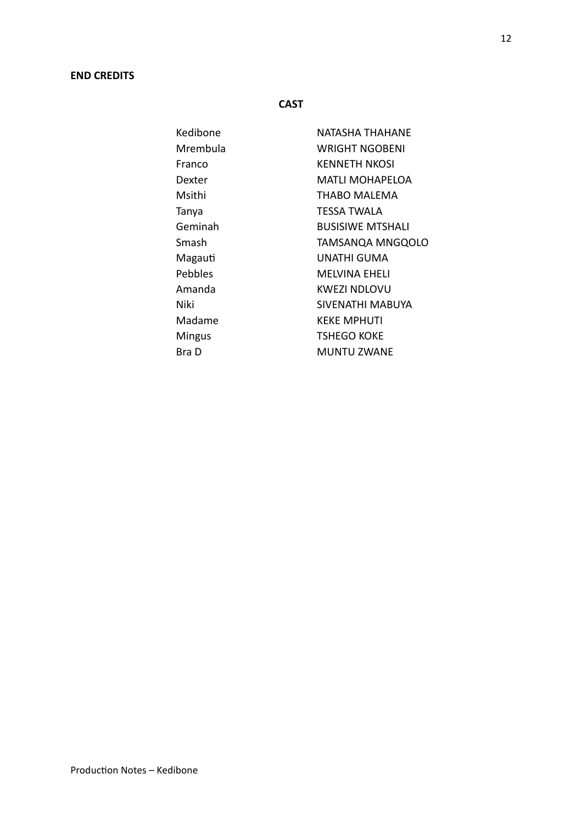## **END CREDITS**

## **CAST**

| Kedibone      | <b>NATASHA THAHANE</b>  |
|---------------|-------------------------|
| Mrembula      | WRIGHT NGOBENI          |
| Franco        | KENNETH NKOSI           |
| Dexter        | <b>MATLI MOHAPELOA</b>  |
| Msithi        | THABO MALFMA            |
| Tanya         | TESSA TWALA             |
| Geminah       | <b>BUSISIWE MTSHALI</b> |
| Smash         | <b>TAMSANQA MNGQOLO</b> |
| Magauti       | UNATHI GUMA             |
| Pebbles       | MELVINA EHELI           |
| Amanda        | <b>KWEZI NDLOVU</b>     |
| Niki          | SIVENATHI MABUYA        |
| Madame        | <b>KEKE MPHUTI</b>      |
| <b>Mingus</b> | <b>TSHEGO KOKE</b>      |
| Bra D         | MUNTU ZWANE             |

12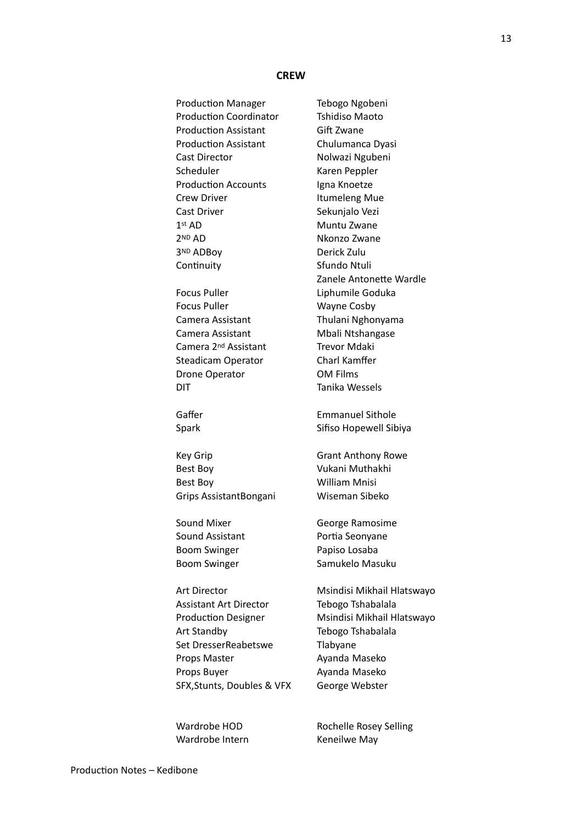**CREW** 

Production Manager Tebogo Ngobeni Production Coordinator Tshidiso Maoto Production Assistant Gift Zwane Production Assistant Chulumanca Dyasi Cast Director Nolwazi Ngubeni Scheduler Karen Peppler Production Accounts Igna Knoetze Crew Driver **Itumeleng Mue** Cast Driver **Sekunjalo Vezi** 1st AD Muntu Zwane 2ND AD Nkonzo Zwane 3<sup>ND</sup> ADBoy Derick Zulu Continuity Sfundo Ntuli

Focus Puller **Liphumile Goduka** Focus Puller Wayne Cosby Camera Assistant Thulani Nghonyama Camera Assistant Mbali Ntshangase Camera 2<sup>nd</sup> Assistant Trevor Mdaki Steadicam Operator **Charl Kamffer** Drone Operator OM Films DIT Tanika Wessels

Key Grip Grant Anthony Rowe Best Boy Vukani Muthakhi Best Boy William Mnisi Grips AssistantBongani Wiseman Sibeko

Boom Swinger Papiso Losaba

Assistant Art Director Tebogo Tshabalala Art Standby Tebogo Tshabalala Set DresserReabetswe Tlabyane Props Master **Ayanda Maseko** Props Buyer **Ayanda Maseko** SFX,Stunts, Doubles & VFX George Webster

Wardrobe Intern Keneilwe May

Zanele Antonette Wardle

Gaffer **Emmanuel Sithole** Spark Sifiso Hopewell Sibiya

Sound Mixer George Ramosime Sound Assistant Portia Seonyane Boom Swinger Samukelo Masuku

Art Director Msindisi Mikhail Hlatswayo Production Designer Msindisi Mikhail Hlatswayo

Wardrobe HOD Rochelle Rosey Selling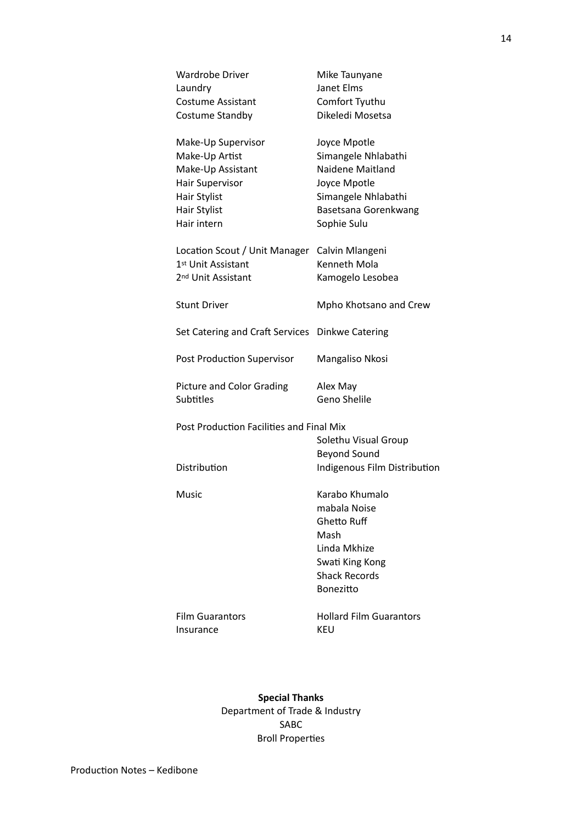| Wardrobe Driver<br>Laundry<br>Costume Assistant<br>Costume Standby                                                          | Mike Taunyane<br><b>Janet Elms</b><br>Comfort Tyuthu<br>Dikeledi Mosetsa                                                              |
|-----------------------------------------------------------------------------------------------------------------------------|---------------------------------------------------------------------------------------------------------------------------------------|
| Make-Up Supervisor<br>Make-Up Artist<br>Make-Up Assistant<br>Hair Supervisor<br>Hair Stylist<br>Hair Stylist<br>Hair intern | Joyce Mpotle<br>Simangele Nhlabathi<br>Naidene Maitland<br>Joyce Mpotle<br>Simangele Nhlabathi<br>Basetsana Gorenkwang<br>Sophie Sulu |
| Location Scout / Unit Manager Calvin Mlangeni<br>1 <sup>st</sup> Unit Assistant<br>2 <sup>nd</sup> Unit Assistant           | Kenneth Mola<br>Kamogelo Lesobea                                                                                                      |
| <b>Stunt Driver</b>                                                                                                         | Mpho Khotsano and Crew                                                                                                                |
| Set Catering and Craft Services Dinkwe Catering                                                                             |                                                                                                                                       |
| Post Production Supervisor                                                                                                  | Mangaliso Nkosi                                                                                                                       |
| <b>Picture and Color Grading</b><br><b>Subtitles</b>                                                                        | Alex May<br>Geno Shelile                                                                                                              |
| Post Production Facilities and Final Mix<br>Distribution                                                                    | Solethu Visual Group<br><b>Beyond Sound</b><br>Indigenous Film Distribution                                                           |
| Music                                                                                                                       | Karabo Khumalo<br>mabala Noise<br>Ghetto Ruff<br>Mash<br>Linda Mkhize<br>Swati King Kong<br><b>Shack Records</b><br>Bonezitto         |
| <b>Film Guarantors</b><br>Insurance                                                                                         | <b>Hollard Film Guarantors</b><br><b>KEU</b>                                                                                          |

**Special Thanks** Department of Trade & Industry SABC **Broll Properties**